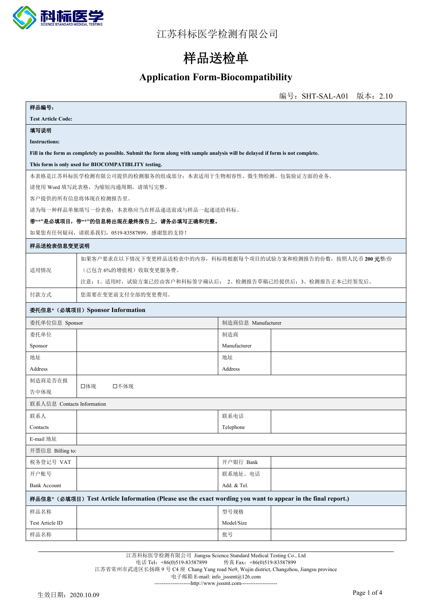

# **样品送检单**

#### **Application Form-Biocompatibility**

|                                                                                                              |                                                                                                                                 |              |  | 编号: SHT-SAL-A01 版本: 2.10 |  |
|--------------------------------------------------------------------------------------------------------------|---------------------------------------------------------------------------------------------------------------------------------|--------------|--|--------------------------|--|
| 样品编号:                                                                                                        |                                                                                                                                 |              |  |                          |  |
| <b>Test Article Code:</b>                                                                                    |                                                                                                                                 |              |  |                          |  |
| 填写说明                                                                                                         |                                                                                                                                 |              |  |                          |  |
| <b>Instructions:</b>                                                                                         |                                                                                                                                 |              |  |                          |  |
|                                                                                                              | Fill in the form as completely as possible. Submit the form along with sample analysis will be delayed if form is not complete. |              |  |                          |  |
|                                                                                                              | This form is only used for BIOCOMPATIBLITY testing.                                                                             |              |  |                          |  |
|                                                                                                              | 本表格是江苏科标医学检测有限公司提供的检测服务的组成部分;本表适用于生物相容性、微生物检测、包装验证方面的业务。                                                                        |              |  |                          |  |
|                                                                                                              | 请使用 Word 填写此表格,为缩短沟通周期,请填写完整。                                                                                                   |              |  |                          |  |
|                                                                                                              | 客户提供的所有信息将体现在检测报告里。                                                                                                             |              |  |                          |  |
|                                                                                                              | 请为每一种样品单独填写一份表格,本表格应当在样品递送前或与样品一起递送给科标。                                                                                         |              |  |                          |  |
|                                                                                                              | 带"*"是必填项目, 带"*"的信息将出现在最终报告上, 请务必填写正确和完整。                                                                                        |              |  |                          |  |
|                                                                                                              | 如果您有任何疑问,请联系我们, 0519-83587899。感谢您的支持!                                                                                           |              |  |                          |  |
| 样品送检表信息变更说明                                                                                                  |                                                                                                                                 |              |  |                          |  |
|                                                                                                              | 如果客户要求在以下情况下变更样品送检表中的内容,科标将根据每个项目的试验方案和检测报告的份数,按照人民币 200 元整/份                                                                   |              |  |                          |  |
| 适用情况                                                                                                         | (已包含6%的增值税)收取变更服务费。                                                                                                             |              |  |                          |  |
|                                                                                                              | 注意: 1、适用时, 试验方案已经由客户和科标签字确认后; 2、检测报告草稿已经提供后; 3、检测报告正本已经签发后。                                                                     |              |  |                          |  |
| 付款方式                                                                                                         | 您需要在变更前支付全部的变更费用。                                                                                                               |              |  |                          |  |
|                                                                                                              | 委托信息* (必填项目) Sponsor Information                                                                                                |              |  |                          |  |
|                                                                                                              | 制造商信息 Manufacturer<br>委托单位信息 Sponsor                                                                                            |              |  |                          |  |
| 委托单位                                                                                                         |                                                                                                                                 | 制造商          |  |                          |  |
| Sponsor                                                                                                      |                                                                                                                                 | Manufacturer |  |                          |  |
| 地址                                                                                                           |                                                                                                                                 | 地址           |  |                          |  |
| Address                                                                                                      |                                                                                                                                 | Address      |  |                          |  |
| 制造商是否在报                                                                                                      | 口体现                                                                                                                             |              |  |                          |  |
| 告中体现                                                                                                         | 口不体现                                                                                                                            |              |  |                          |  |
| 联系人信息 Contacts Information                                                                                   |                                                                                                                                 |              |  |                          |  |
| 联系人                                                                                                          |                                                                                                                                 | 联系电话         |  |                          |  |
| Contacts                                                                                                     |                                                                                                                                 | Telephone    |  |                          |  |
| E-mail 地址                                                                                                    |                                                                                                                                 |              |  |                          |  |
| 开票信息 Billing to:                                                                                             |                                                                                                                                 |              |  |                          |  |
| 税务登记号 VAT                                                                                                    |                                                                                                                                 | 开户银行 Bank    |  |                          |  |
| 开户账号                                                                                                         |                                                                                                                                 | 联系地址、电话      |  |                          |  |
| <b>Bank Account</b>                                                                                          |                                                                                                                                 | Add. & Tel.  |  |                          |  |
| 样品信息* (必填项目) Test Article Information (Please use the exact wording you want to appear in the final report.) |                                                                                                                                 |              |  |                          |  |
| 样品名称                                                                                                         |                                                                                                                                 | 型号规格         |  |                          |  |
| Test Article ID                                                                                              |                                                                                                                                 | Model/Size   |  |                          |  |
| 样品名称                                                                                                         |                                                                                                                                 | 批号           |  |                          |  |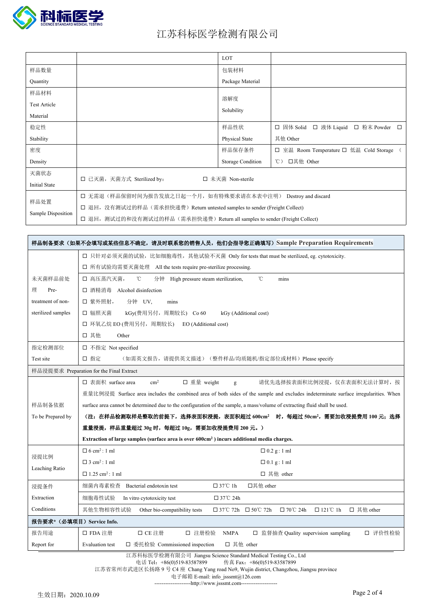

|                      |                                                                             | LOT               |                                                   |  |  |
|----------------------|-----------------------------------------------------------------------------|-------------------|---------------------------------------------------|--|--|
| 样品数量                 |                                                                             | 包装材料              |                                                   |  |  |
| Quantity             |                                                                             | Package Material  |                                                   |  |  |
| 样品材料                 |                                                                             |                   |                                                   |  |  |
| <b>Test Article</b>  |                                                                             | 溶解度               |                                                   |  |  |
| Material             |                                                                             | Solubility        |                                                   |  |  |
| 稳定性                  |                                                                             | 样品性状              | □ 固体 Solid □ 液体 Liquid<br>□ 粉末 Powder □           |  |  |
|                      |                                                                             |                   |                                                   |  |  |
| Stability            |                                                                             | Physical State    | 其他 Other                                          |  |  |
| 密度                   |                                                                             | 样品保存条件            | 室温 Room Temperature 口 低温 Cold Storage (<br>$\Box$ |  |  |
| Density              |                                                                             | Storage Condition | 口其他 Other<br>$^{\circ}$ C)                        |  |  |
| 灭菌状态                 | □ 已灭菌, 灭菌方式 Sterilized by:<br>□ 未灭菌 Non-sterile                             |                   |                                                   |  |  |
| <b>Initial State</b> |                                                                             |                   |                                                   |  |  |
| 样品处置                 | □ 无需退 (样品保留时间为报告发放之日起一个月, 如有特殊要求请在本表中注明) Destroy and discard                |                   |                                                   |  |  |
|                      | □ 退回, 没有测试过的样品(需承担快递费) Return untested samples to sender (Freight Collect)  |                   |                                                   |  |  |
| Sample Disposition   | □ 退回, 测试过的和没有测试过的样品 (需承担快递费) Return all samples to sender (Freight Collect) |                   |                                                   |  |  |
|                      |                                                                             |                   |                                                   |  |  |

|                            | 样品制备要求(如果不会填写或某些信息不确定,请及时联系您的销售人员,他们会指导您正确填写)Sample Preparation Requirements                                                       |  |  |  |
|----------------------------|------------------------------------------------------------------------------------------------------------------------------------|--|--|--|
|                            | □ 只针对必须灭菌的试验, 比如细胞毒性, 其他试验不灭菌 Only for tests that must be sterilized, eg. cytotoxicity.                                            |  |  |  |
|                            | □ 所有试验均需要灭菌处理 All the tests require pre-sterilize processing.                                                                      |  |  |  |
| 未灭菌样品前处                    | $^{\circ}$ C<br>口 高压蒸汽灭菌,<br>°C<br>分钟<br>High pressure steam sterilization,<br>mins                                                |  |  |  |
| 理<br>Pre-                  | □ 酒精消毒<br>Alcohol disinfection                                                                                                     |  |  |  |
| treatment of non-          | □ 紫外照射,<br>分钟 UV.<br>mins                                                                                                          |  |  |  |
| sterilized samples         | 口 辐照灭菌<br>kGy(费用另付, 周期较长) Co 60<br>kGy (Additional cost)                                                                           |  |  |  |
|                            | □ 环氧乙烷 EO (费用另付, 周期较长)<br>EO (Additional cost)                                                                                     |  |  |  |
|                            | 口 其他<br>Other                                                                                                                      |  |  |  |
| 指定检测部位                     | □ 不指定 Not specified                                                                                                                |  |  |  |
| Test site                  | 口 指定<br>(如需英文报告, 请提供英文描述) (整件样品/均质随机/指定部位或材料) Please specify                                                                       |  |  |  |
|                            | 样品浸提要求 Preparation for the Final Extract                                                                                           |  |  |  |
|                            | □ 表面积 surface area<br>□ 重量 weight<br>请优先选择按表面积比例浸提, 仅在表面积无法计算时, 按<br>$\rm cm^2$<br>g                                               |  |  |  |
|                            | 重量比例浸提 Surface area includes the combined area of both sides of the sample and excludes indeterminate surface irregularities. When |  |  |  |
| 样品制备依据                     | surface area cannot be determined due to the configuration of the sample, a mass/volume of extracting fluid shall be used.         |  |  |  |
| To be Prepared by          | (注: 在样品检测取样是整取的前提下,选择表面积浸提,表面积超过 600cm <sup>2</sup> 时,每超过 50cm <sup>2</sup> ,需要加收浸提费用 100 元; 选择                                    |  |  |  |
|                            | 重量浸提,样品重量超过 30g 时,每超过 10g,需要加收浸提费用 200 元。)                                                                                         |  |  |  |
|                            | Extraction of large samples (surface area is over 600cm <sup>2</sup> ) incurs additional media charges.                            |  |  |  |
| 浸提比例                       | $\Box$ 6 cm <sup>2</sup> : 1 ml<br>$\Box$ 0.2 g: 1 ml                                                                              |  |  |  |
| Leaching Ratio             | $\Box$ 3 cm <sup>2</sup> : 1 ml<br>$\Box$ 0.1 g: 1 ml                                                                              |  |  |  |
|                            | $\Box$ 1.25 cm <sup>2</sup> : 1 ml<br>□ 其他 other                                                                                   |  |  |  |
| 浸提条件                       | $\Box$ 37°C 1h<br>口其他 other<br>细菌内毒素检查<br>Bacterial endotoxin test                                                                 |  |  |  |
| Extraction                 | 细胞毒性试验<br>□ 37°C 24h<br>In vitro cytotoxicity test                                                                                 |  |  |  |
| Conditions                 | 其他生物相容性试验<br>□ 其他 other<br>Other bio-compatibility tests<br>$\Box$ 37°C 72h $\Box$ 50°C 72h<br>$\Box$ 70°C 24h<br>$\Box$ 121°C 1h  |  |  |  |
| 报告要求* (必填项目) Service Info. |                                                                                                                                    |  |  |  |
| 报告用途                       | 口 注册检验<br>□ FDA 注册<br>□ CE 注册<br><b>NMPA</b><br>□ 监督抽查 Quality supervision sampling<br>口 评价性检验                                     |  |  |  |
| Report for                 | □ 委托检验 Commissioned inspection<br>□ 其他 other<br><b>Evaluation</b> test                                                             |  |  |  |

江苏科标医学检测有限公司 Jiangsu Science Standard Medical Testing Co., Ltd

电话 Tel: +86(0)519-83587899 传真 Fax: +86(0)519-83587899

江苏省常州市武进区长扬路 9 号 C4 座 Chang Yang road No9, Wujin district, Changzhou, Jiangsu province

电子邮箱 E-mail: info\_jsssmt@126.com

--------------------[http://www.jsssmt.com](http://yxbfzb.suda.edu.cn/)--------------------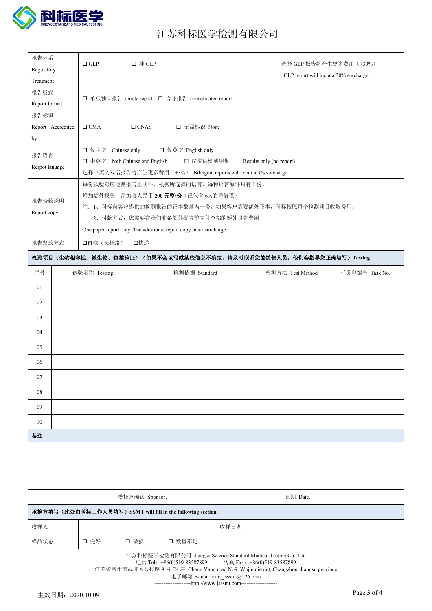

| 报告体系<br>Regulatory                                                                        |                                                                                                                                                  | $\Box$ GLP                                        | 口 非 GLP                                                            |      |                  | 选择 GLP 报告将产生更多费用 (+30%) |
|-------------------------------------------------------------------------------------------|--------------------------------------------------------------------------------------------------------------------------------------------------|---------------------------------------------------|--------------------------------------------------------------------|------|------------------|-------------------------|
| Treatment                                                                                 |                                                                                                                                                  | GLP report will incur a 30% surcharge.            |                                                                    |      |                  |                         |
| 报告版式                                                                                      |                                                                                                                                                  |                                                   |                                                                    |      |                  |                         |
| Report format                                                                             |                                                                                                                                                  | □ 单项独立报告 single report □ 合并报告 consolidated report |                                                                    |      |                  |                         |
| 报告标识                                                                                      |                                                                                                                                                  |                                                   |                                                                    |      |                  |                         |
|                                                                                           | Report Accredited                                                                                                                                | $\Box$ CMA                                        | □ 无需标识 None<br>$\Box$ CNAS                                         |      |                  |                         |
| by                                                                                        |                                                                                                                                                  |                                                   |                                                                    |      |                  |                         |
| 报告语言                                                                                      |                                                                                                                                                  | □ 仅中文 Chinese only<br>□ 仅英文 English only          |                                                                    |      |                  |                         |
| □ 中英文 both Chinese and English<br>口 仅提供检测结果<br>Results only (no report)<br>Rerpot lanuage |                                                                                                                                                  |                                                   |                                                                    |      |                  |                         |
|                                                                                           | 选择中英文双语报告将产生更多费用(+3%) Bilingual reports will incur a 3% surcharge.<br>每份试验对应检测报告正式件, 根据所选择的语言, 每种语言原件只有1份。                                       |                                                   |                                                                    |      |                  |                         |
|                                                                                           |                                                                                                                                                  |                                                   | 增加额外报告, 需加收人民币 200 元整/份(己包含 6%的增值税)                                |      |                  |                         |
| 报告份数说明                                                                                    |                                                                                                                                                  |                                                   | 注: 1、科标向客户提供的检测报告的正本数量为一份。如果客户需要额外正本, 科标按照每个检测项目收取费用。              |      |                  |                         |
| Report copy                                                                               |                                                                                                                                                  |                                                   | 2、付款方式: 您需要在我们准备额外报告前支付全部的额外报告费用。                                  |      |                  |                         |
|                                                                                           |                                                                                                                                                  |                                                   | One paper report only. The additional report copy incur surcharge. |      |                  |                         |
| 报告发放方式                                                                                    |                                                                                                                                                  | 口自取(长扬路)                                          | 口快递                                                                |      |                  |                         |
|                                                                                           |                                                                                                                                                  |                                                   | 检测项目(生物相容性、微生物、包装验证)(如果不会填写或某些信息不确定,请及时联系您的销售人员,他们会指导您正确填写)Testing |      |                  |                         |
| 序号                                                                                        |                                                                                                                                                  | 试验名称 Testing                                      | 检测依据 Standard                                                      |      | 检测方法 Test Method | 任务单编号 Task No.          |
| 01                                                                                        |                                                                                                                                                  |                                                   |                                                                    |      |                  |                         |
| 02                                                                                        |                                                                                                                                                  |                                                   |                                                                    |      |                  |                         |
| 03                                                                                        |                                                                                                                                                  |                                                   |                                                                    |      |                  |                         |
| 04                                                                                        |                                                                                                                                                  |                                                   |                                                                    |      |                  |                         |
| 05                                                                                        |                                                                                                                                                  |                                                   |                                                                    |      |                  |                         |
| 06                                                                                        |                                                                                                                                                  |                                                   |                                                                    |      |                  |                         |
| 07                                                                                        |                                                                                                                                                  |                                                   |                                                                    |      |                  |                         |
| 08                                                                                        |                                                                                                                                                  |                                                   |                                                                    |      |                  |                         |
| 09                                                                                        |                                                                                                                                                  |                                                   |                                                                    |      |                  |                         |
| 10                                                                                        |                                                                                                                                                  |                                                   |                                                                    |      |                  |                         |
| 备注                                                                                        |                                                                                                                                                  |                                                   |                                                                    |      |                  |                         |
|                                                                                           |                                                                                                                                                  |                                                   |                                                                    |      |                  |                         |
|                                                                                           |                                                                                                                                                  |                                                   |                                                                    |      |                  |                         |
|                                                                                           |                                                                                                                                                  |                                                   |                                                                    |      |                  |                         |
| 委托方确认 Sponsor:<br>日期 Date:                                                                |                                                                                                                                                  |                                                   |                                                                    |      |                  |                         |
| 承检方填写(此处由科标工作人员填写) SSMT will fill in the following section.                               |                                                                                                                                                  |                                                   |                                                                    |      |                  |                         |
| 收样人                                                                                       |                                                                                                                                                  |                                                   |                                                                    | 收样日期 |                  |                         |
| 样品状态                                                                                      | □ 破损<br>口 数量不足<br>口 完好                                                                                                                           |                                                   |                                                                    |      |                  |                         |
| 江苏科标医学检测有限公司 Jiangsu Science Standard Medical Testing Co., Ltd                            |                                                                                                                                                  |                                                   |                                                                    |      |                  |                         |
|                                                                                           | 电话 Tel: +86(0)519-83587899<br>传真 Fax: +86(0)519-83587899<br>江苏省常州市武进区长扬路 9号 C4座 Chang Yang road No9, Wujin district, Changzhou, Jiangsu province |                                                   |                                                                    |      |                  |                         |

--------------------[http://www.jsssmt.com](http://yxbfzb.suda.edu.cn/)--------------------